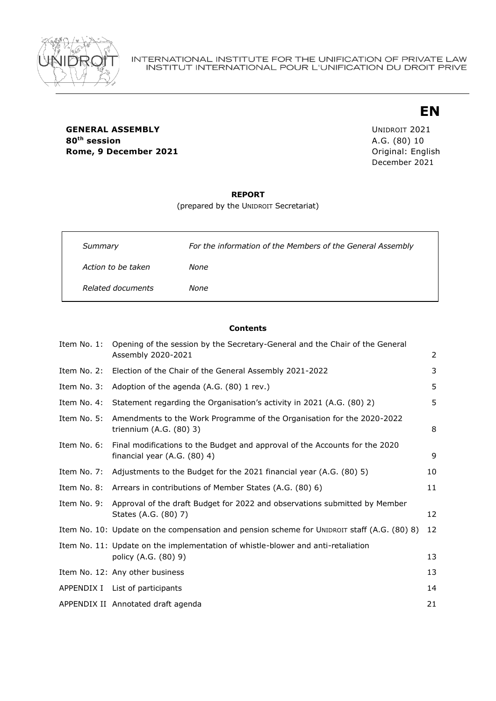

# **EN**

**GENERAL ASSEMBLY** UNIDROIT 2021 **80th session** A.G. (80) 10 **Rome, 9 December 2021 Communicate Communicate Communicate Communicate Communicate Communicate Communicate Communicate Communicate Communicate Communicate Communicate Communicate Communicate Communicate Communicate Commu** 

December 2021

#### **REPORT**

(prepared by the UNIDROIT Secretariat)

| Summary            | For the information of the Members of the General Assembly |
|--------------------|------------------------------------------------------------|
| Action to be taken | None                                                       |
| Related documents  | None                                                       |

#### **Contents**

| Item No. 1: | Opening of the session by the Secretary-General and the Chair of the General<br>Assembly 2020-2021          | $\overline{2}$ |
|-------------|-------------------------------------------------------------------------------------------------------------|----------------|
| Item No. 2: | Election of the Chair of the General Assembly 2021-2022                                                     | 3              |
| Item No. 3: | Adoption of the agenda (A.G. (80) 1 rev.)                                                                   | 5              |
| Item No. 4: | Statement regarding the Organisation's activity in 2021 (A.G. (80) 2)                                       | 5              |
| Item No. 5: | Amendments to the Work Programme of the Organisation for the 2020-2022<br>triennium $(A.G. (80) 3)$         | 8              |
| Item No. 6: | Final modifications to the Budget and approval of the Accounts for the 2020<br>financial year (A.G. (80) 4) | 9              |
| Item No. 7: | Adjustments to the Budget for the 2021 financial year (A.G. (80) 5)                                         | 10             |
| Item No. 8: | Arrears in contributions of Member States (A.G. (80) 6)                                                     | 11             |
| Item No. 9: | Approval of the draft Budget for 2022 and observations submitted by Member<br>States (A.G. (80) 7)          | 12             |
|             | Item No. 10: Update on the compensation and pension scheme for UNIDROIT staff (A.G. (80) 8)                 | 12             |
|             | Item No. 11: Update on the implementation of whistle-blower and anti-retaliation<br>policy (A.G. (80) 9)    | 13             |
|             | Item No. 12: Any other business                                                                             | 13             |
|             | APPENDIX I List of participants                                                                             | 14             |
|             | APPENDIX II Annotated draft agenda                                                                          | 21             |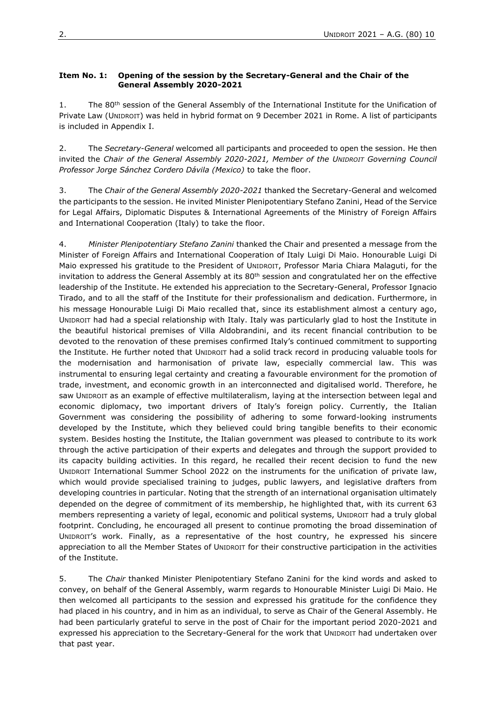#### <span id="page-1-0"></span>**Item No. 1: Opening of the session by the Secretary-General and the Chair of the General Assembly 2020-2021**

1. The 80<sup>th</sup> session of the General Assembly of the International Institute for the Unification of Private Law (UNIDROIT) was held in hybrid format on 9 December 2021 in Rome. A list of participants is included in Appendix I.

2. The *Secretary-General* welcomed all participants and proceeded to open the session. He then invited the *Chair of the General Assembly 2020-2021, Member of the UNIDROIT Governing Council Professor Jorge Sánchez Cordero Dávila (Mexico)* to take the floor.

3. The *Chair of the General Assembly 2020-2021* thanked the Secretary-General and welcomed the participants to the session. He invited Minister Plenipotentiary Stefano Zanini, Head of the Service for Legal Affairs, Diplomatic Disputes & International Agreements of the Ministry of Foreign Affairs and International Cooperation (Italy) to take the floor.

4. *Minister Plenipotentiary Stefano Zanini* thanked the Chair and presented a message from the Minister of Foreign Affairs and International Cooperation of Italy Luigi Di Maio. Honourable Luigi Di Maio expressed his gratitude to the President of UNIDROIT, Professor Maria Chiara Malaguti, for the invitation to address the General Assembly at its  $80<sup>th</sup>$  session and congratulated her on the effective leadership of the Institute. He extended his appreciation to the Secretary-General, Professor Ignacio Tirado, and to all the staff of the Institute for their professionalism and dedication. Furthermore, in his message Honourable Luigi Di Maio recalled that, since its establishment almost a century ago, UNIDROIT had had a special relationship with Italy. Italy was particularly glad to host the Institute in the beautiful historical premises of Villa Aldobrandini, and its recent financial contribution to be devoted to the renovation of these premises confirmed Italy's continued commitment to supporting the Institute. He further noted that UNIDROIT had a solid track record in producing valuable tools for the modernisation and harmonisation of private law, especially commercial law. This was instrumental to ensuring legal certainty and creating a favourable environment for the promotion of trade, investment, and economic growth in an interconnected and digitalised world. Therefore, he saw UNIDROIT as an example of effective multilateralism, laying at the intersection between legal and economic diplomacy, two important drivers of Italy's foreign policy. Currently, the Italian Government was considering the possibility of adhering to some forward-looking instruments developed by the Institute, which they believed could bring tangible benefits to their economic system. Besides hosting the Institute, the Italian government was pleased to contribute to its work through the active participation of their experts and delegates and through the support provided to its capacity building activities. In this regard, he recalled their recent decision to fund the new UNIDROIT International Summer School 2022 on the instruments for the unification of private law, which would provide specialised training to judges, public lawyers, and legislative drafters from developing countries in particular. Noting that the strength of an international organisation ultimately depended on the degree of commitment of its membership, he highlighted that, with its current 63 members representing a variety of legal, economic and political systems, UNIDROIT had a truly global footprint. Concluding, he encouraged all present to continue promoting the broad dissemination of UNIDROIT's work. Finally, as a representative of the host country, he expressed his sincere appreciation to all the Member States of UNIDROIT for their constructive participation in the activities of the Institute.

5. The *Chair* thanked Minister Plenipotentiary Stefano Zanini for the kind words and asked to convey, on behalf of the General Assembly, warm regards to Honourable Minister Luigi Di Maio. He then welcomed all participants to the session and expressed his gratitude for the confidence they had placed in his country, and in him as an individual, to serve as Chair of the General Assembly. He had been particularly grateful to serve in the post of Chair for the important period 2020-2021 and expressed his appreciation to the Secretary-General for the work that UNIDROIT had undertaken over that past year.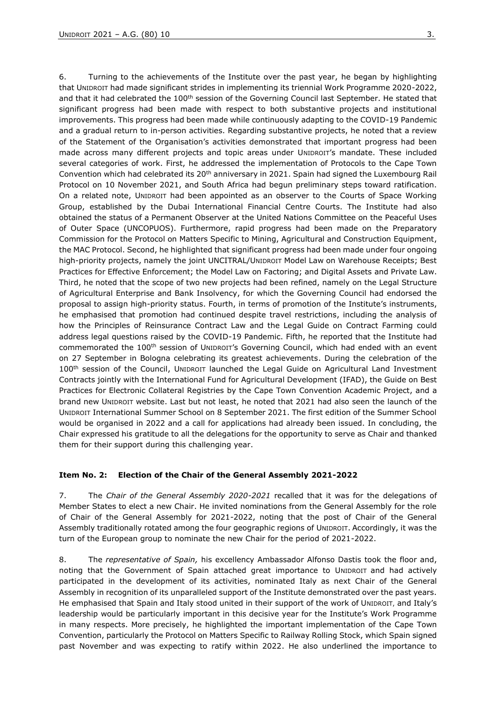6. Turning to the achievements of the Institute over the past year, he began by highlighting that UNIDROIT had made significant strides in implementing its triennial Work Programme 2020-2022, and that it had celebrated the 100<sup>th</sup> session of the Governing Council last September. He stated that significant progress had been made with respect to both substantive projects and institutional improvements. This progress had been made while continuously adapting to the COVID-19 Pandemic and a gradual return to in-person activities. Regarding substantive projects, he noted that a review of the Statement of the Organisation's activities demonstrated that important progress had been made across many different projects and topic areas under UNIDROIT's mandate. These included several categories of work. First, he addressed the implementation of Protocols to the Cape Town Convention which had celebrated its 20<sup>th</sup> anniversary in 2021. Spain had signed the Luxembourg Rail Protocol on 10 November 2021, and South Africa had begun preliminary steps toward ratification. On a related note, UNIDROIT had been appointed as an observer to the Courts of Space Working Group, established by the Dubai International Financial Centre Courts. The Institute had also obtained the status of a Permanent Observer at the United Nations Committee on the Peaceful Uses of Outer Space (UNCOPUOS). Furthermore, rapid progress had been made on the Preparatory Commission for the Protocol on Matters Specific to Mining, Agricultural and Construction Equipment, the MAC Protocol. Second, he highlighted that significant progress had been made under four ongoing high-priority projects, namely the joint UNCITRAL/UNIDROIT Model Law on Warehouse Receipts; Best Practices for Effective Enforcement; the Model Law on Factoring; and Digital Assets and Private Law. Third, he noted that the scope of two new projects had been refined, namely on the Legal Structure of Agricultural Enterprise and Bank Insolvency, for which the Governing Council had endorsed the proposal to assign high-priority status. Fourth, in terms of promotion of the Institute's instruments, he emphasised that promotion had continued despite travel restrictions, including the analysis of how the Principles of Reinsurance Contract Law and the Legal Guide on Contract Farming could address legal questions raised by the COVID-19 Pandemic. Fifth, he reported that the Institute had commemorated the 100th session of UNIDROIT's Governing Council, which had ended with an event on 27 September in Bologna celebrating its greatest achievements. During the celebration of the 100<sup>th</sup> session of the Council, UNIDROIT launched the Legal Guide on Agricultural Land Investment Contracts jointly with the International Fund for Agricultural Development (IFAD), the Guide on Best Practices for Electronic Collateral Registries by the Cape Town Convention Academic Project, and a brand new UNIDROIT website. Last but not least, he noted that 2021 had also seen the launch of the UNIDROIT International Summer School on 8 September 2021. The first edition of the Summer School would be organised in 2022 and a call for applications had already been issued. In concluding, the Chair expressed his gratitude to all the delegations for the opportunity to serve as Chair and thanked them for their support during this challenging year.

#### <span id="page-2-0"></span>**Item No. 2: Election of the Chair of the General Assembly 2021-2022**

7. The *Chair of the General Assembly 2020-2021* recalled that it was for the delegations of Member States to elect a new Chair. He invited nominations from the General Assembly for the role of Chair of the General Assembly for 2021-2022, noting that the post of Chair of the General Assembly traditionally rotated among the four geographic regions of UNIDROIT. Accordingly, it was the turn of the European group to nominate the new Chair for the period of 2021-2022.

8. The *representative of Spain,* his excellency Ambassador Alfonso Dastis took the floor and, noting that the Government of Spain attached great importance to UNIDROIT and had actively participated in the development of its activities, nominated Italy as next Chair of the General Assembly in recognition of its unparalleled support of the Institute demonstrated over the past years. He emphasised that Spain and Italy stood united in their support of the work of UNIDROIT, and Italy's leadership would be particularly important in this decisive year for the Institute's Work Programme in many respects. More precisely, he highlighted the important implementation of the Cape Town Convention, particularly the Protocol on Matters Specific to Railway Rolling Stock, which Spain signed past November and was expecting to ratify within 2022. He also underlined the importance to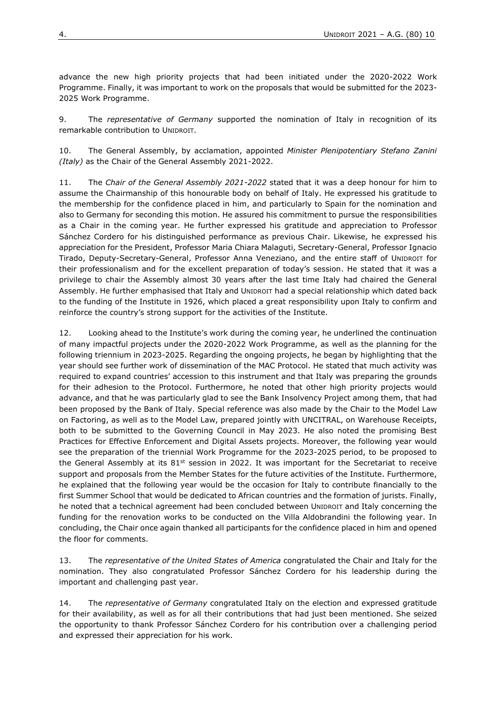advance the new high priority projects that had been initiated under the 2020-2022 Work Programme. Finally, it was important to work on the proposals that would be submitted for the 2023- 2025 Work Programme.

9. The *representative of Germany* supported the nomination of Italy in recognition of its remarkable contribution to UNIDROIT.

10. The General Assembly, by acclamation, appointed *Minister Plenipotentiary Stefano Zanini (Italy)* as the Chair of the General Assembly 2021-2022.

11. The *Chair of the General Assembly 2021-2022* stated that it was a deep honour for him to assume the Chairmanship of this honourable body on behalf of Italy. He expressed his gratitude to the membership for the confidence placed in him, and particularly to Spain for the nomination and also to Germany for seconding this motion. He assured his commitment to pursue the responsibilities as a Chair in the coming year. He further expressed his gratitude and appreciation to Professor Sánchez Cordero for his distinguished performance as previous Chair. Likewise, he expressed his appreciation for the President, Professor Maria Chiara Malaguti, Secretary-General, Professor Ignacio Tirado, Deputy-Secretary-General, Professor Anna Veneziano, and the entire staff of UNIDROIT for their professionalism and for the excellent preparation of today's session. He stated that it was a privilege to chair the Assembly almost 30 years after the last time Italy had chaired the General Assembly. He further emphasised that Italy and UNIDROIT had a special relationship which dated back to the funding of the Institute in 1926, which placed a great responsibility upon Italy to confirm and reinforce the country's strong support for the activities of the Institute.

12. Looking ahead to the Institute's work during the coming year, he underlined the continuation of many impactful projects under the 2020-2022 Work Programme, as well as the planning for the following triennium in 2023-2025. Regarding the ongoing projects, he began by highlighting that the year should see further work of dissemination of the MAC Protocol. He stated that much activity was required to expand countries' accession to this instrument and that Italy was preparing the grounds for their adhesion to the Protocol. Furthermore, he noted that other high priority projects would advance, and that he was particularly glad to see the Bank Insolvency Project among them, that had been proposed by the Bank of Italy. Special reference was also made by the Chair to the Model Law on Factoring, as well as to the Model Law, prepared jointly with UNCITRAL, on Warehouse Receipts, both to be submitted to the Governing Council in May 2023. He also noted the promising Best Practices for Effective Enforcement and Digital Assets projects. Moreover, the following year would see the preparation of the triennial Work Programme for the 2023-2025 period, to be proposed to the General Assembly at its  $81<sup>st</sup>$  session in 2022. It was important for the Secretariat to receive support and proposals from the Member States for the future activities of the Institute. Furthermore, he explained that the following year would be the occasion for Italy to contribute financially to the first Summer School that would be dedicated to African countries and the formation of jurists. Finally, he noted that a technical agreement had been concluded between UNIDROIT and Italy concerning the funding for the renovation works to be conducted on the Villa Aldobrandini the following year. In concluding, the Chair once again thanked all participants for the confidence placed in him and opened the floor for comments.

13. The *representative of the United States of America* congratulated the Chair and Italy for the nomination. They also congratulated Professor Sánchez Cordero for his leadership during the important and challenging past year.

14. The *representative of Germany* congratulated Italy on the election and expressed gratitude for their availability, as well as for all their contributions that had just been mentioned. She seized the opportunity to thank Professor Sánchez Cordero for his contribution over a challenging period and expressed their appreciation for his work.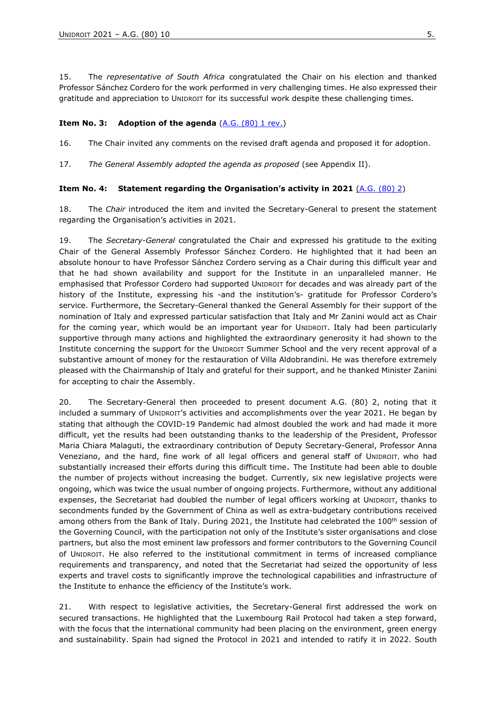15. The *representative of South Africa* congratulated the Chair on his election and thanked Professor Sánchez Cordero for the work performed in very challenging times. He also expressed their gratitude and appreciation to UNIDROIT for its successful work despite these challenging times.

#### <span id="page-4-0"></span>**Item No. 3:** Adoption of the agenda [\(A.G. \(80\) 1 rev.\)](https://www.unidroit.org/wp-content/uploads/2021/12/A.G.801-rev.-Annotated-draft-agenda.pdf)

16. The Chair invited any comments on the revised draft agenda and proposed it for adoption.

17. *The General Assembly adopted the agenda as proposed* (see Appendix II).

#### <span id="page-4-1"></span>**Item No. 4: Statement regarding the Organisation's activity in 2021** [\(A.G. \(80\) 2\)](https://www.unidroit.org/wp-content/uploads/2021/11/A.G.-80-2-Organisations-activity-in-2021.pdf)

18. The *Chair* introduced the item and invited the Secretary-General to present the statement regarding the Organisation's activities in 2021.

19. The *Secretary-General* congratulated the Chair and expressed his gratitude to the exiting Chair of the General Assembly Professor Sánchez Cordero. He highlighted that it had been an absolute honour to have Professor Sánchez Cordero serving as a Chair during this difficult year and that he had shown availability and support for the Institute in an unparalleled manner. He emphasised that Professor Cordero had supported UNIDROIT for decades and was already part of the history of the Institute, expressing his -and the institution's- gratitude for Professor Cordero's service. Furthermore, the Secretary-General thanked the General Assembly for their support of the nomination of Italy and expressed particular satisfaction that Italy and Mr Zanini would act as Chair for the coming year, which would be an important year for UNIDROIT. Italy had been particularly supportive through many actions and highlighted the extraordinary generosity it had shown to the Institute concerning the support for the UNIDROIT Summer School and the very recent approval of a substantive amount of money for the restauration of Villa Aldobrandini. He was therefore extremely pleased with the Chairmanship of Italy and grateful for their support, and he thanked Minister Zanini for accepting to chair the Assembly.

20. The Secretary-General then proceeded to present document A.G. (80) 2, noting that it included a summary of UNIDROIT's activities and accomplishments over the year 2021. He began by stating that although the COVID-19 Pandemic had almost doubled the work and had made it more difficult, yet the results had been outstanding thanks to the leadership of the President, Professor Maria Chiara Malaguti, the extraordinary contribution of Deputy Secretary-General, Professor Anna Veneziano, and the hard, fine work of all legal officers and general staff of UNIDROIT, who had substantially increased their efforts during this difficult time. The Institute had been able to double the number of projects without increasing the budget. Currently, six new legislative projects were ongoing, which was twice the usual number of ongoing projects. Furthermore, without any additional expenses, the Secretariat had doubled the number of legal officers working at UNIDROIT, thanks to secondments funded by the Government of China as well as extra-budgetary contributions received among others from the Bank of Italy. During 2021, the Institute had celebrated the 100<sup>th</sup> session of the Governing Council, with the participation not only of the Institute's sister organisations and close partners, but also the most eminent law professors and former contributors to the Governing Council of UNIDROIT. He also referred to the institutional commitment in terms of increased compliance requirements and transparency, and noted that the Secretariat had seized the opportunity of less experts and travel costs to significantly improve the technological capabilities and infrastructure of the Institute to enhance the efficiency of the Institute's work.

21. With respect to legislative activities, the Secretary-General first addressed the work on secured transactions. He highlighted that the Luxembourg Rail Protocol had taken a step forward, with the focus that the international community had been placing on the environment, green energy and sustainability. Spain had signed the Protocol in 2021 and intended to ratify it in 2022. South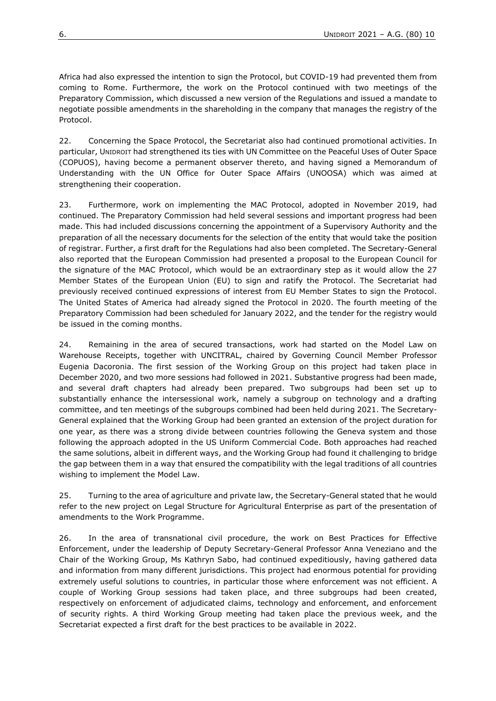Africa had also expressed the intention to sign the Protocol, but COVID-19 had prevented them from coming to Rome. Furthermore, the work on the Protocol continued with two meetings of the Preparatory Commission, which discussed a new version of the Regulations and issued a mandate to negotiate possible amendments in the shareholding in the company that manages the registry of the Protocol.

22. Concerning the Space Protocol, the Secretariat also had continued promotional activities. In particular, UNIDROIT had strengthened its ties with UN Committee on the Peaceful Uses of Outer Space (COPUOS), having become a permanent observer thereto, and having signed a Memorandum of Understanding with the UN Office for Outer Space Affairs (UNOOSA) which was aimed at strengthening their cooperation.

23. Furthermore, work on implementing the MAC Protocol, adopted in November 2019, had continued. The Preparatory Commission had held several sessions and important progress had been made. This had included discussions concerning the appointment of a Supervisory Authority and the preparation of all the necessary documents for the selection of the entity that would take the position of registrar. Further, a first draft for the Regulations had also been completed. The Secretary-General also reported that the European Commission had presented a proposal to the European Council for the signature of the MAC Protocol, which would be an extraordinary step as it would allow the 27 Member States of the European Union (EU) to sign and ratify the Protocol. The Secretariat had previously received continued expressions of interest from EU Member States to sign the Protocol. The United States of America had already signed the Protocol in 2020. The fourth meeting of the Preparatory Commission had been scheduled for January 2022, and the tender for the registry would be issued in the coming months.

24. Remaining in the area of secured transactions, work had started on the Model Law on Warehouse Receipts, together with UNCITRAL, chaired by Governing Council Member Professor Eugenia Dacoronia. The first session of the Working Group on this project had taken place in December 2020, and two more sessions had followed in 2021. Substantive progress had been made, and several draft chapters had already been prepared. Two subgroups had been set up to substantially enhance the intersessional work, namely a subgroup on technology and a drafting committee, and ten meetings of the subgroups combined had been held during 2021. The Secretary-General explained that the Working Group had been granted an extension of the project duration for one year, as there was a strong divide between countries following the Geneva system and those following the approach adopted in the US Uniform Commercial Code. Both approaches had reached the same solutions, albeit in different ways, and the Working Group had found it challenging to bridge the gap between them in a way that ensured the compatibility with the legal traditions of all countries wishing to implement the Model Law.

25. Turning to the area of agriculture and private law, the Secretary-General stated that he would refer to the new project on Legal Structure for Agricultural Enterprise as part of the presentation of amendments to the Work Programme.

26. In the area of transnational civil procedure, the work on Best Practices for Effective Enforcement, under the leadership of Deputy Secretary-General Professor Anna Veneziano and the Chair of the Working Group, Ms Kathryn Sabo, had continued expeditiously, having gathered data and information from many different jurisdictions. This project had enormous potential for providing extremely useful solutions to countries, in particular those where enforcement was not efficient. A couple of Working Group sessions had taken place, and three subgroups had been created, respectively on enforcement of adjudicated claims, technology and enforcement, and enforcement of security rights. A third Working Group meeting had taken place the previous week, and the Secretariat expected a first draft for the best practices to be available in 2022.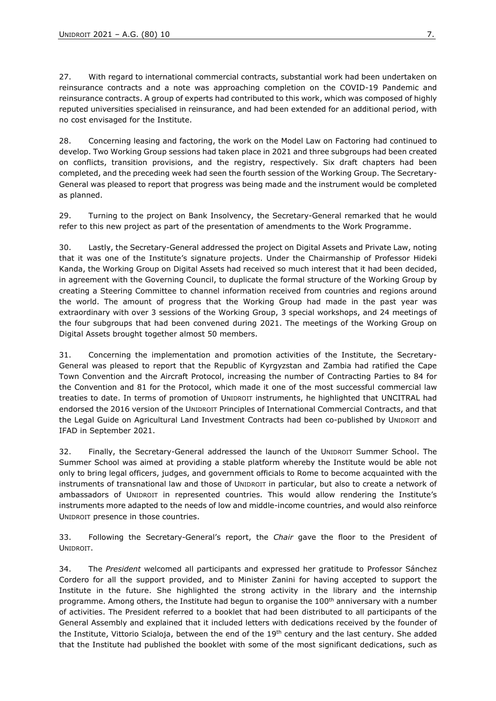27. With regard to international commercial contracts, substantial work had been undertaken on reinsurance contracts and a note was approaching completion on the COVID-19 Pandemic and reinsurance contracts. A group of experts had contributed to this work, which was composed of highly reputed universities specialised in reinsurance, and had been extended for an additional period, with no cost envisaged for the Institute.

28. Concerning leasing and factoring, the work on the Model Law on Factoring had continued to develop. Two Working Group sessions had taken place in 2021 and three subgroups had been created on conflicts, transition provisions, and the registry, respectively. Six draft chapters had been completed, and the preceding week had seen the fourth session of the Working Group. The Secretary-General was pleased to report that progress was being made and the instrument would be completed as planned.

29. Turning to the project on Bank Insolvency, the Secretary-General remarked that he would refer to this new project as part of the presentation of amendments to the Work Programme.

30. Lastly, the Secretary-General addressed the project on Digital Assets and Private Law, noting that it was one of the Institute's signature projects. Under the Chairmanship of Professor Hideki Kanda, the Working Group on Digital Assets had received so much interest that it had been decided, in agreement with the Governing Council, to duplicate the formal structure of the Working Group by creating a Steering Committee to channel information received from countries and regions around the world. The amount of progress that the Working Group had made in the past year was extraordinary with over 3 sessions of the Working Group, 3 special workshops, and 24 meetings of the four subgroups that had been convened during 2021. The meetings of the Working Group on Digital Assets brought together almost 50 members.

31. Concerning the implementation and promotion activities of the Institute, the Secretary-General was pleased to report that the Republic of Kyrgyzstan and Zambia had ratified the Cape Town Convention and the Aircraft Protocol, increasing the number of Contracting Parties to 84 for the Convention and 81 for the Protocol, which made it one of the most successful commercial law treaties to date. In terms of promotion of UNIDROIT instruments, he highlighted that UNCITRAL had endorsed the 2016 version of the UNIDROIT Principles of International Commercial Contracts, and that the Legal Guide on Agricultural Land Investment Contracts had been co-published by UNIDROIT and IFAD in September 2021.

32. Finally, the Secretary-General addressed the launch of the UNIDROIT Summer School. The Summer School was aimed at providing a stable platform whereby the Institute would be able not only to bring legal officers, judges, and government officials to Rome to become acquainted with the instruments of transnational law and those of UNIDROIT in particular, but also to create a network of ambassadors of UNIDROIT in represented countries. This would allow rendering the Institute's instruments more adapted to the needs of low and middle-income countries, and would also reinforce UNIDROIT presence in those countries.

33. Following the Secretary-General's report, the *Chair* gave the floor to the President of UNIDROIT.

34. The *President* welcomed all participants and expressed her gratitude to Professor Sánchez Cordero for all the support provided, and to Minister Zanini for having accepted to support the Institute in the future. She highlighted the strong activity in the library and the internship programme. Among others, the Institute had begun to organise the 100<sup>th</sup> anniversary with a number of activities. The President referred to a booklet that had been distributed to all participants of the General Assembly and explained that it included letters with dedications received by the founder of the Institute, Vittorio Scialoja, between the end of the 19<sup>th</sup> century and the last century. She added that the Institute had published the booklet with some of the most significant dedications, such as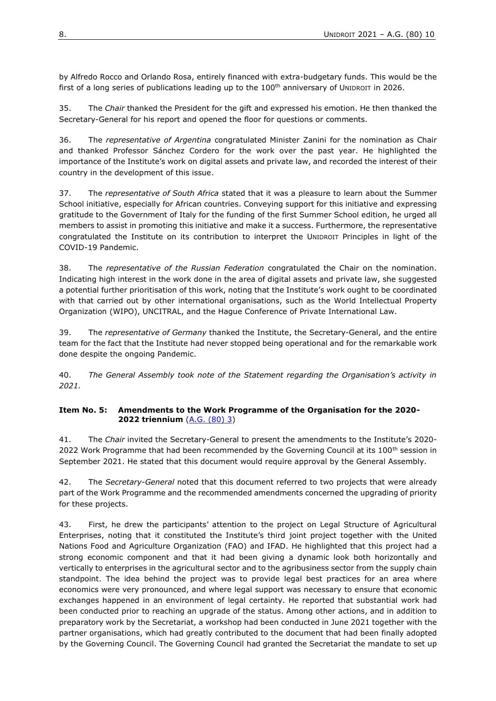by Alfredo Rocco and Orlando Rosa, entirely financed with extra-budgetary funds. This would be the first of a long series of publications leading up to the  $100<sup>th</sup>$  anniversary of UNIDROIT in 2026.

35. The *Chair* thanked the President for the gift and expressed his emotion. He then thanked the Secretary-General for his report and opened the floor for questions or comments.

36. The *representative of Argentina* congratulated Minister Zanini for the nomination as Chair and thanked Professor Sánchez Cordero for the work over the past year. He highlighted the importance of the Institute's work on digital assets and private law, and recorded the interest of their country in the development of this issue.

37. The *representative of South Africa* stated that it was a pleasure to learn about the Summer School initiative, especially for African countries. Conveying support for this initiative and expressing gratitude to the Government of Italy for the funding of the first Summer School edition, he urged all members to assist in promoting this initiative and make it a success. Furthermore, the representative congratulated the Institute on its contribution to interpret the UNIDROIT Principles in light of the COVID-19 Pandemic.

38. The *representative of the Russian Federation* congratulated the Chair on the nomination. Indicating high interest in the work done in the area of digital assets and private law, she suggested a potential further prioritisation of this work, noting that the Institute's work ought to be coordinated with that carried out by other international organisations, such as the World Intellectual Property Organization (WIPO), UNCITRAL, and the Hague Conference of Private International Law.

39. The *representative of Germany* thanked the Institute, the Secretary-General, and the entire team for the fact that the Institute had never stopped being operational and for the remarkable work done despite the ongoing Pandemic.

40. *The General Assembly took note of the Statement regarding the Organisation's activity in 2021.*

#### <span id="page-7-0"></span>**Item No. 5: Amendments to the Work Programme of the Organisation for the 2020- 2022 triennium** [\(A.G. \(80\) 3\)](https://www.unidroit.org/wp-content/uploads/2021/11/A.G.-80-3-Amendments-to-WP-2020-2022.pdf)

41. The *Chair* invited the Secretary-General to present the amendments to the Institute's 2020- 2022 Work Programme that had been recommended by the Governing Council at its 100<sup>th</sup> session in September 2021. He stated that this document would require approval by the General Assembly.

42. The *Secretary-General* noted that this document referred to two projects that were already part of the Work Programme and the recommended amendments concerned the upgrading of priority for these projects.

43. First, he drew the participants' attention to the project on Legal Structure of Agricultural Enterprises, noting that it constituted the Institute's third joint project together with the United Nations Food and Agriculture Organization (FAO) and IFAD. He highlighted that this project had a strong economic component and that it had been giving a dynamic look both horizontally and vertically to enterprises in the agricultural sector and to the agribusiness sector from the supply chain standpoint. The idea behind the project was to provide legal best practices for an area where economics were very pronounced, and where legal support was necessary to ensure that economic exchanges happened in an environment of legal certainty. He reported that substantial work had been conducted prior to reaching an upgrade of the status. Among other actions, and in addition to preparatory work by the Secretariat, a workshop had been conducted in June 2021 together with the partner organisations, which had greatly contributed to the document that had been finally adopted by the Governing Council. The Governing Council had granted the Secretariat the mandate to set up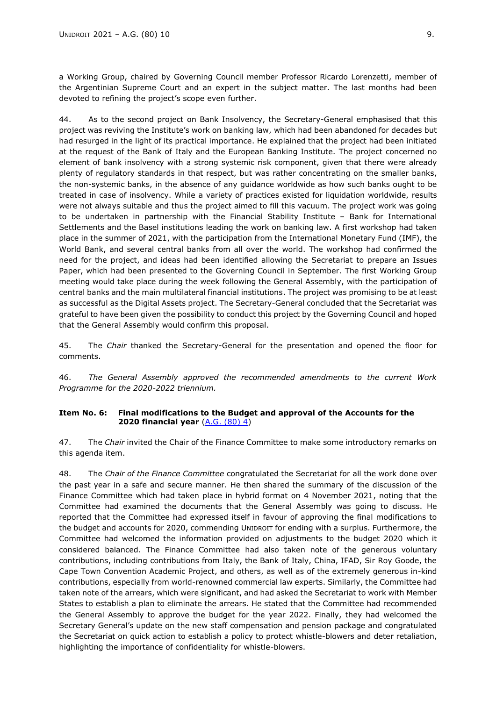a Working Group, chaired by Governing Council member Professor Ricardo Lorenzetti, member of the Argentinian Supreme Court and an expert in the subject matter. The last months had been devoted to refining the project's scope even further.

44. As to the second project on Bank Insolvency, the Secretary-General emphasised that this project was reviving the Institute's work on banking law, which had been abandoned for decades but had resurged in the light of its practical importance. He explained that the project had been initiated at the request of the Bank of Italy and the European Banking Institute. The project concerned no element of bank insolvency with a strong systemic risk component, given that there were already plenty of regulatory standards in that respect, but was rather concentrating on the smaller banks, the non-systemic banks, in the absence of any guidance worldwide as how such banks ought to be treated in case of insolvency. While a variety of practices existed for liquidation worldwide, results were not always suitable and thus the project aimed to fill this vacuum. The project work was going to be undertaken in partnership with the Financial Stability Institute – Bank for International Settlements and the Basel institutions leading the work on banking law. A first workshop had taken place in the summer of 2021, with the participation from the International Monetary Fund (IMF), the World Bank, and several central banks from all over the world. The workshop had confirmed the need for the project, and ideas had been identified allowing the Secretariat to prepare an Issues Paper, which had been presented to the Governing Council in September. The first Working Group meeting would take place during the week following the General Assembly, with the participation of central banks and the main multilateral financial institutions. The project was promising to be at least as successful as the Digital Assets project. The Secretary-General concluded that the Secretariat was grateful to have been given the possibility to conduct this project by the Governing Council and hoped that the General Assembly would confirm this proposal.

45. The *Chair* thanked the Secretary-General for the presentation and opened the floor for comments.

46. *The General Assembly approved the recommended amendments to the current Work Programme for the 2020-2022 triennium.*

#### <span id="page-8-0"></span>**Item No. 6: Final modifications to the Budget and approval of the Accounts for the 2020 financial year** [\(A.G. \(80\) 4\)](https://www.unidroit.org/wp-content/uploads/2021/11/A.G.-80-4-Final-modifications-Budget-2020.pdf)

47. The *Chair* invited the Chair of the Finance Committee to make some introductory remarks on this agenda item.

48. The *Chair of the Finance Committee* congratulated the Secretariat for all the work done over the past year in a safe and secure manner. He then shared the summary of the discussion of the Finance Committee which had taken place in hybrid format on 4 November 2021, noting that the Committee had examined the documents that the General Assembly was going to discuss. He reported that the Committee had expressed itself in favour of approving the final modifications to the budget and accounts for 2020, commending UNIDROIT for ending with a surplus. Furthermore, the Committee had welcomed the information provided on adjustments to the budget 2020 which it considered balanced. The Finance Committee had also taken note of the generous voluntary contributions, including contributions from Italy, the Bank of Italy, China, IFAD, Sir Roy Goode, the Cape Town Convention Academic Project, and others, as well as of the extremely generous in-kind contributions, especially from world-renowned commercial law experts. Similarly, the Committee had taken note of the arrears, which were significant, and had asked the Secretariat to work with Member States to establish a plan to eliminate the arrears. He stated that the Committee had recommended the General Assembly to approve the budget for the year 2022. Finally, they had welcomed the Secretary General's update on the new staff compensation and pension package and congratulated the Secretariat on quick action to establish a policy to protect whistle-blowers and deter retaliation, highlighting the importance of confidentiality for whistle-blowers.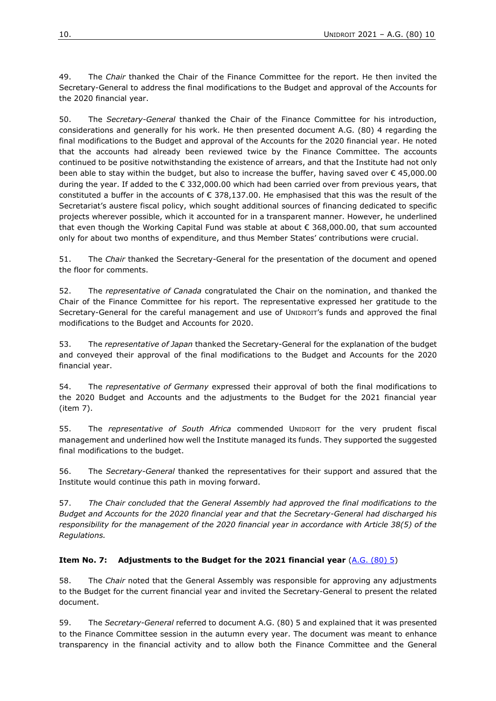49. The *Chair* thanked the Chair of the Finance Committee for the report. He then invited the Secretary-General to address the final modifications to the Budget and approval of the Accounts for the 2020 financial year.

50. The *Secretary-General* thanked the Chair of the Finance Committee for his introduction, considerations and generally for his work. He then presented document A.G. (80) 4 regarding the final modifications to the Budget and approval of the Accounts for the 2020 financial year. He noted that the accounts had already been reviewed twice by the Finance Committee. The accounts continued to be positive notwithstanding the existence of arrears, and that the Institute had not only been able to stay within the budget, but also to increase the buffer, having saved over € 45,000.00 during the year. If added to the € 332,000.00 which had been carried over from previous years, that constituted a buffer in the accounts of € 378,137.00. He emphasised that this was the result of the Secretariat's austere fiscal policy, which sought additional sources of financing dedicated to specific projects wherever possible, which it accounted for in a transparent manner. However, he underlined that even though the Working Capital Fund was stable at about € 368,000.00, that sum accounted only for about two months of expenditure, and thus Member States' contributions were crucial.

51. The *Chair* thanked the Secretary-General for the presentation of the document and opened the floor for comments.

52. The *representative of Canada* congratulated the Chair on the nomination, and thanked the Chair of the Finance Committee for his report. The representative expressed her gratitude to the Secretary-General for the careful management and use of UNIDROIT's funds and approved the final modifications to the Budget and Accounts for 2020.

53. The *representative of Japan* thanked the Secretary-General for the explanation of the budget and conveyed their approval of the final modifications to the Budget and Accounts for the 2020 financial year.

54. The *representative of Germany* expressed their approval of both the final modifications to the 2020 Budget and Accounts and the adjustments to the Budget for the 2021 financial year (item 7).

55. The *representative of South Africa* commended UNIDROIT for the very prudent fiscal management and underlined how well the Institute managed its funds. They supported the suggested final modifications to the budget.

56. The *Secretary-General* thanked the representatives for their support and assured that the Institute would continue this path in moving forward.

57. *The Chair concluded that the General Assembly had approved the final modifications to the Budget and Accounts for the 2020 financial year and that the Secretary-General had discharged his responsibility for the management of the 2020 financial year in accordance with Article 38(5) of the Regulations.*

# <span id="page-9-0"></span>**Item No. 7: Adjustments to the Budget for the 2021 financial year** [\(A.G. \(80\) 5\)](https://www.unidroit.org/wp-content/uploads/2021/11/A.G.-80-5-Adjustments-Budget-2021.pdf)

58. The *Chair* noted that the General Assembly was responsible for approving any adjustments to the Budget for the current financial year and invited the Secretary-General to present the related document.

59. The *Secretary-General* referred to document A.G. (80) 5 and explained that it was presented to the Finance Committee session in the autumn every year. The document was meant to enhance transparency in the financial activity and to allow both the Finance Committee and the General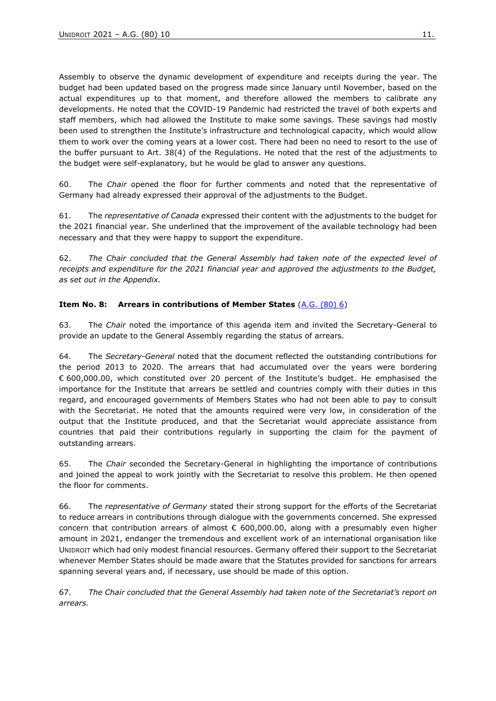Assembly to observe the dynamic development of expenditure and receipts during the year. The budget had been updated based on the progress made since January until November, based on the actual expenditures up to that moment, and therefore allowed the members to calibrate any developments. He noted that the COVID-19 Pandemic had restricted the travel of both experts and staff members, which had allowed the Institute to make some savings. These savings had mostly been used to strengthen the Institute's infrastructure and technological capacity, which would allow them to work over the coming years at a lower cost. There had been no need to resort to the use of the buffer pursuant to Art. 38(4) of the Regulations. He noted that the rest of the adjustments to the budget were self-explanatory, but he would be glad to answer any questions.

60. The *Chair* opened the floor for further comments and noted that the representative of Germany had already expressed their approval of the adjustments to the Budget.

61. The *representative of Canada* expressed their content with the adjustments to the budget for the 2021 financial year. She underlined that the improvement of the available technology had been necessary and that they were happy to support the expenditure.

62. *The Chair concluded that the General Assembly had taken note of the expected level of receipts and expenditure for the 2021 financial year and approved the adjustments to the Budget, as set out in the Appendix.*

# <span id="page-10-0"></span>**Item No. 8: Arrears in contributions of Member States** [\(A.G. \(80\) 6\)](https://www.unidroit.org/wp-content/uploads/2021/11/A.G.-80-6-Arrears-in-contributions-of-Member-States.pdf)

63. The *Chair* noted the importance of this agenda item and invited the Secretary-General to provide an update to the General Assembly regarding the status of arrears.

64. The *Secretary-General* noted that the document reflected the outstanding contributions for the period 2013 to 2020. The arrears that had accumulated over the years were bordering € 600,000.00, which constituted over 20 percent of the Institute's budget. He emphasised the importance for the Institute that arrears be settled and countries comply with their duties in this regard, and encouraged governments of Members States who had not been able to pay to consult with the Secretariat. He noted that the amounts required were very low, in consideration of the output that the Institute produced, and that the Secretariat would appreciate assistance from countries that paid their contributions regularly in supporting the claim for the payment of outstanding arrears.

65. The *Chair* seconded the Secretary-General in highlighting the importance of contributions and joined the appeal to work jointly with the Secretariat to resolve this problem. He then opened the floor for comments.

66. The *representative of Germany* stated their strong support for the efforts of the Secretariat to reduce arrears in contributions through dialogue with the governments concerned. She expressed concern that contribution arrears of almost  $\epsilon$  600,000.00, along with a presumably even higher amount in 2021, endanger the tremendous and excellent work of an international organisation like UNIDROIT which had only modest financial resources. Germany offered their support to the Secretariat whenever Member States should be made aware that the Statutes provided for sanctions for arrears spanning several years and, if necessary, use should be made of this option.

67. *The Chair concluded that the General Assembly had taken note of the Secretariat's report on arrears.*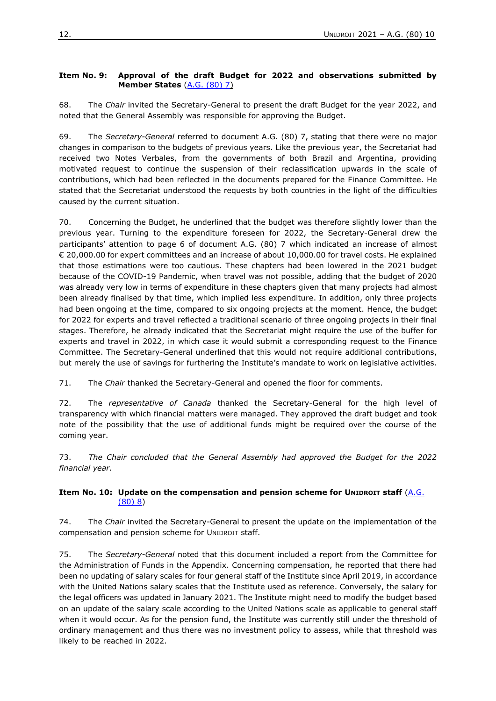# <span id="page-11-0"></span>**Item No. 9: Approval of the draft Budget for 2022 and observations submitted by Member States** [\(A.G. \(80\) 7\)](https://www.unidroit.org/wp-content/uploads/2021/11/A.G.-80-7-Approval-Draft-Budget-2022-and-obs-MS.pdf)

68. The *Chair* invited the Secretary-General to present the draft Budget for the year 2022, and noted that the General Assembly was responsible for approving the Budget.

69. The *Secretary-General* referred to document A.G. (80) 7, stating that there were no major changes in comparison to the budgets of previous years. Like the previous year, the Secretariat had received two Notes Verbales, from the governments of both Brazil and Argentina, providing motivated request to continue the suspension of their reclassification upwards in the scale of contributions, which had been reflected in the documents prepared for the Finance Committee. He stated that the Secretariat understood the requests by both countries in the light of the difficulties caused by the current situation.

70. Concerning the Budget, he underlined that the budget was therefore slightly lower than the previous year. Turning to the expenditure foreseen for 2022, the Secretary-General drew the participants' attention to page 6 of document A.G. (80) 7 which indicated an increase of almost € 20,000.00 for expert committees and an increase of about 10,000.00 for travel costs. He explained that those estimations were too cautious. These chapters had been lowered in the 2021 budget because of the COVID-19 Pandemic, when travel was not possible, adding that the budget of 2020 was already very low in terms of expenditure in these chapters given that many projects had almost been already finalised by that time, which implied less expenditure. In addition, only three projects had been ongoing at the time, compared to six ongoing projects at the moment. Hence, the budget for 2022 for experts and travel reflected a traditional scenario of three ongoing projects in their final stages. Therefore, he already indicated that the Secretariat might require the use of the buffer for experts and travel in 2022, in which case it would submit a corresponding request to the Finance Committee. The Secretary-General underlined that this would not require additional contributions, but merely the use of savings for furthering the Institute's mandate to work on legislative activities.

71. The *Chair* thanked the Secretary-General and opened the floor for comments.

72. The *representative of Canada* thanked the Secretary-General for the high level of transparency with which financial matters were managed. They approved the draft budget and took note of the possibility that the use of additional funds might be required over the course of the coming year.

73. *The Chair concluded that the General Assembly had approved the Budget for the 2022 financial year.* 

# <span id="page-11-1"></span>**Item No. 10: Update on the compensation and pension scheme for UNIDROIT staff** [\(A.G.](https://www.unidroit.org/wp-content/uploads/2021/11/A.G.-80-8-Update-on-the-compensation-pension-scheme-web-site.pdf)  [\(80\) 8\)](https://www.unidroit.org/wp-content/uploads/2021/11/A.G.-80-8-Update-on-the-compensation-pension-scheme-web-site.pdf)

74. The *Chair* invited the Secretary-General to present the update on the implementation of the compensation and pension scheme for UNIDROIT staff.

75. The *Secretary-General* noted that this document included a report from the Committee for the Administration of Funds in the Appendix. Concerning compensation, he reported that there had been no updating of salary scales for four general staff of the Institute since April 2019, in accordance with the United Nations salary scales that the Institute used as reference. Conversely, the salary for the legal officers was updated in January 2021. The Institute might need to modify the budget based on an update of the salary scale according to the United Nations scale as applicable to general staff when it would occur. As for the pension fund, the Institute was currently still under the threshold of ordinary management and thus there was no investment policy to assess, while that threshold was likely to be reached in 2022.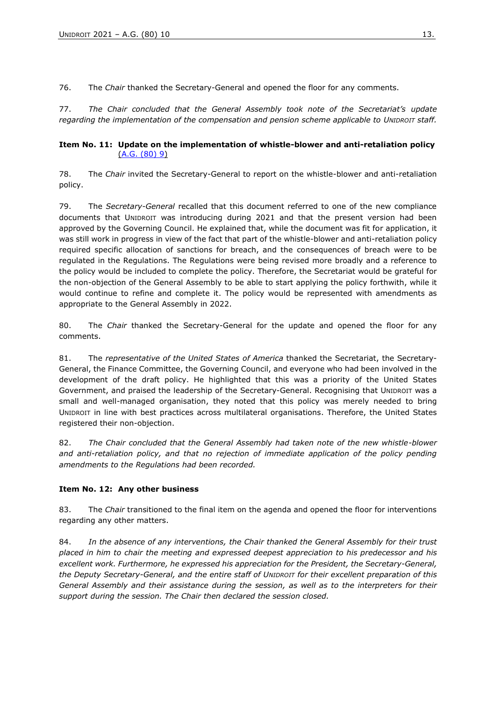76. The *Chair* thanked the Secretary-General and opened the floor for any comments.

77. *The Chair concluded that the General Assembly took note of the Secretariat's update regarding the implementation of the compensation and pension scheme applicable to UNIDROIT staff.*

#### <span id="page-12-0"></span>**Item No. 11: Update on the implementation of whistle-blower and anti-retaliation policy**  [\(A.G. \(80\) 9\)](https://www.unidroit.org/wp-content/uploads/2021/11/A.G.-80-9-Update-on-whistle-blower-and-anti-retaliation-policy-1.pdf)

78. The *Chair* invited the Secretary-General to report on the whistle-blower and anti-retaliation policy.

79. The *Secretary-General* recalled that this document referred to one of the new compliance documents that UNIDROIT was introducing during 2021 and that the present version had been approved by the Governing Council. He explained that, while the document was fit for application, it was still work in progress in view of the fact that part of the whistle-blower and anti-retaliation policy required specific allocation of sanctions for breach, and the consequences of breach were to be regulated in the Regulations. The Regulations were being revised more broadly and a reference to the policy would be included to complete the policy. Therefore, the Secretariat would be grateful for the non-objection of the General Assembly to be able to start applying the policy forthwith, while it would continue to refine and complete it. The policy would be represented with amendments as appropriate to the General Assembly in 2022.

80. The *Chair* thanked the Secretary-General for the update and opened the floor for any comments.

81. The *representative of the United States of America* thanked the Secretariat, the Secretary-General, the Finance Committee, the Governing Council, and everyone who had been involved in the development of the draft policy. He highlighted that this was a priority of the United States Government, and praised the leadership of the Secretary-General. Recognising that UNIDROIT was a small and well-managed organisation, they noted that this policy was merely needed to bring UNIDROIT in line with best practices across multilateral organisations. Therefore, the United States registered their non-objection.

82. *The Chair concluded that the General Assembly had taken note of the new whistle-blower and anti-retaliation policy, and that no rejection of immediate application of the policy pending amendments to the Regulations had been recorded.*

# <span id="page-12-1"></span>**Item No. 12: Any other business**

83. The *Chair* transitioned to the final item on the agenda and opened the floor for interventions regarding any other matters.

84. *In the absence of any interventions, the Chair thanked the General Assembly for their trust placed in him to chair the meeting and expressed deepest appreciation to his predecessor and his excellent work. Furthermore, he expressed his appreciation for the President, the Secretary-General, the Deputy Secretary-General, and the entire staff of UNIDROIT for their excellent preparation of this General Assembly and their assistance during the session, as well as to the interpreters for their support during the session. The Chair then declared the session closed.*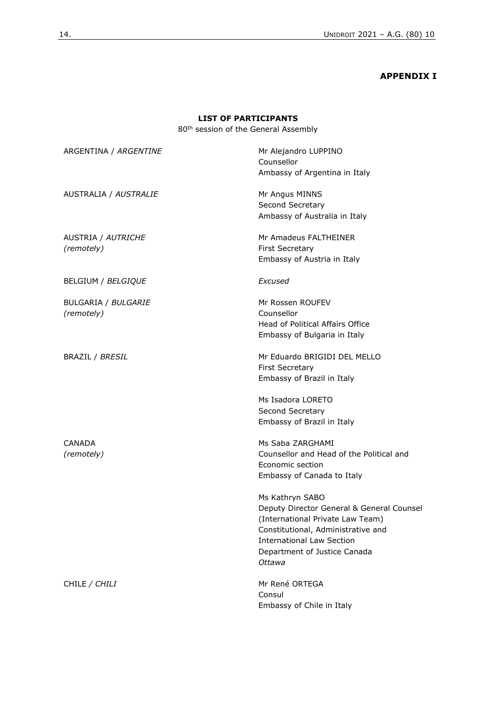# **APPENDIX I**

# **LIST OF PARTICIPANTS**

80th session of the General Assembly

<span id="page-13-0"></span>

| ARGENTINA / ARGENTINE             | Mr Alejandro LUPPINO<br>Counsellor<br>Ambassy of Argentina in Italy                                                                                                                                                  |
|-----------------------------------|----------------------------------------------------------------------------------------------------------------------------------------------------------------------------------------------------------------------|
| AUSTRALIA / AUSTRALIE             | Mr Angus MINNS<br>Second Secretary<br>Ambassy of Australia in Italy                                                                                                                                                  |
| AUSTRIA / AUTRICHE<br>(remotely)  | Mr Amadeus FALTHEINER<br><b>First Secretary</b><br>Embassy of Austria in Italy                                                                                                                                       |
| BELGIUM / BELGIQUE                | Excused                                                                                                                                                                                                              |
| BULGARIA / BULGARIE<br>(remotely) | Mr Rossen ROUFEV<br>Counsellor<br>Head of Political Affairs Office<br>Embassy of Bulgaria in Italy                                                                                                                   |
| <b>BRAZIL / BRESIL</b>            | Mr Eduardo BRIGIDI DEL MELLO<br><b>First Secretary</b><br>Embassy of Brazil in Italy<br>Ms Isadora LORETO                                                                                                            |
|                                   | Second Secretary<br>Embassy of Brazil in Italy                                                                                                                                                                       |
| CANADA<br>(remotely)              | Ms Saba ZARGHAMI<br>Counsellor and Head of the Political and<br>Economic section<br>Embassy of Canada to Italy                                                                                                       |
|                                   | Ms Kathryn SABO<br>Deputy Director General & General Counsel<br>(International Private Law Team)<br>Constitutional, Administrative and<br><b>International Law Section</b><br>Department of Justice Canada<br>Ottawa |
| CHILE / CHILI                     | Mr René ORTEGA<br>Consul<br>Embassy of Chile in Italy                                                                                                                                                                |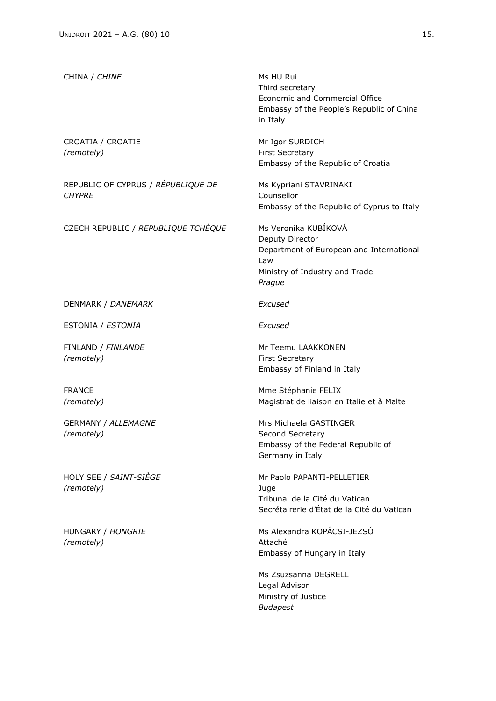| CHINA / CHINE                                       | Ms HU Rui<br>Third secretary<br>Economic and Commercial Office<br>Embassy of the People's Republic of China<br>in Italy                |
|-----------------------------------------------------|----------------------------------------------------------------------------------------------------------------------------------------|
| CROATIA / CROATIE<br>(remotely)                     | Mr Igor SURDICH<br><b>First Secretary</b><br>Embassy of the Republic of Croatia                                                        |
| REPUBLIC OF CYPRUS / RÉPUBLIQUE DE<br><i>CHYPRE</i> | Ms Kypriani STAVRINAKI<br>Counsellor<br>Embassy of the Republic of Cyprus to Italy                                                     |
| CZECH REPUBLIC / REPUBLIQUE TCHEQUE                 | Ms Veronika KUBÍKOVÁ<br>Deputy Director<br>Department of European and International<br>Law<br>Ministry of Industry and Trade<br>Prague |
| DENMARK / DANEMARK                                  | Excused                                                                                                                                |
| ESTONIA / ESTONIA                                   | Excused                                                                                                                                |
| FINLAND / FINLANDE<br>(remotely)                    | Mr Teemu LAAKKONEN<br><b>First Secretary</b><br>Embassy of Finland in Italy                                                            |
| <b>FRANCE</b><br>(remotely)                         | Mme Stéphanie FELIX<br>Magistrat de liaison en Italie et à Malte                                                                       |
| <b>GERMANY / ALLEMAGNE</b><br>(remotely)            | Mrs Michaela GASTINGER<br>Second Secretary<br>Embassy of the Federal Republic of<br>Germany in Italy                                   |
| HOLY SEE / SAINT-SIÈGE<br>(remotely)                | Mr Paolo PAPANTI-PELLETIER<br>Juge<br>Tribunal de la Cité du Vatican<br>Secrétairerie d'État de la Cité du Vatican                     |
| HUNGARY / HONGRIE<br>(remotely)                     | Ms Alexandra KOPÁCSI-JEZSÓ<br>Attaché<br>Embassy of Hungary in Italy                                                                   |
|                                                     | Ms Zsuzsanna DEGRELL<br>Legal Advisor<br>Ministry of Justice<br><b>Budapest</b>                                                        |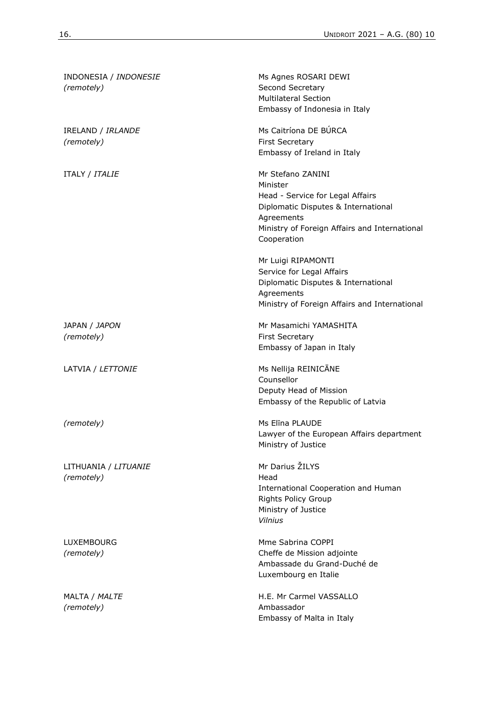| INDONESIA / INDONESIE<br>(remotely) | Ms Agnes ROSARI DEWI<br>Second Secretary<br><b>Multilateral Section</b><br>Embassy of Indonesia in Italy                                                                               |
|-------------------------------------|----------------------------------------------------------------------------------------------------------------------------------------------------------------------------------------|
| IRELAND / IRLANDE<br>(remotely)     | Ms Caitríona DE BÚRCA<br><b>First Secretary</b><br>Embassy of Ireland in Italy                                                                                                         |
| ITALY / ITALIE                      | Mr Stefano ZANINI<br>Minister<br>Head - Service for Legal Affairs<br>Diplomatic Disputes & International<br>Agreements<br>Ministry of Foreign Affairs and International<br>Cooperation |
|                                     | Mr Luigi RIPAMONTI<br>Service for Legal Affairs<br>Diplomatic Disputes & International<br>Agreements<br>Ministry of Foreign Affairs and International                                  |
| JAPAN / JAPON<br>(remotely)         | Mr Masamichi YAMASHITA<br><b>First Secretary</b><br>Embassy of Japan in Italy                                                                                                          |
| LATVIA / LETTONIE                   | Ms Nellija REINICĀNE<br>Counsellor<br>Deputy Head of Mission<br>Embassy of the Republic of Latvia                                                                                      |
| (remotely)                          | Ms Elina PLAUDE<br>Lawyer of the European Affairs department<br>Ministry of Justice                                                                                                    |
| LITHUANIA / LITUANIE<br>(remotely)  | Mr Darius ŽILYS<br>Head<br>International Cooperation and Human<br><b>Rights Policy Group</b><br>Ministry of Justice<br><b>Vilnius</b>                                                  |
| LUXEMBOURG<br>(remotely)            | Mme Sabrina COPPI<br>Cheffe de Mission adjointe<br>Ambassade du Grand-Duché de<br>Luxembourg en Italie                                                                                 |
| MALTA / MALTE<br>(remotely)         | H.E. Mr Carmel VASSALLO<br>Ambassador<br>Embassy of Malta in Italy                                                                                                                     |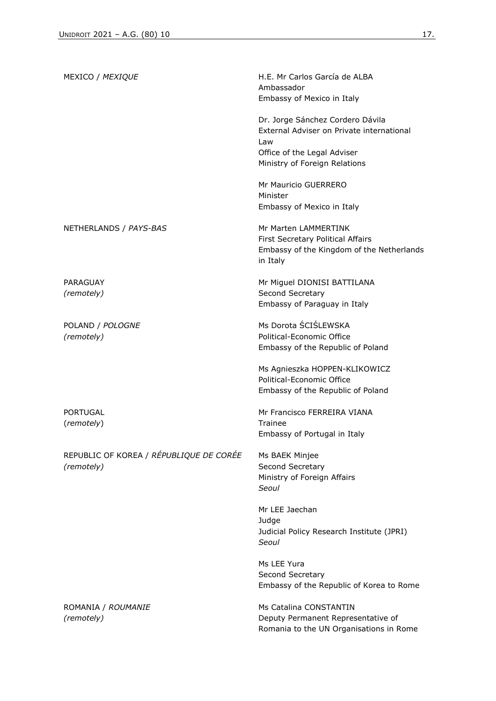| MEXICO / MEXIQUE                                      | H.E. Mr Carlos García de ALBA<br>Ambassador<br>Embassy of Mexico in Italy                                                                            |
|-------------------------------------------------------|------------------------------------------------------------------------------------------------------------------------------------------------------|
|                                                       | Dr. Jorge Sánchez Cordero Dávila<br>External Adviser on Private international<br>Law<br>Office of the Legal Adviser<br>Ministry of Foreign Relations |
|                                                       | Mr Mauricio GUERRERO<br>Minister<br>Embassy of Mexico in Italy                                                                                       |
| NETHERLANDS / PAYS-BAS                                | Mr Marten LAMMERTINK<br>First Secretary Political Affairs<br>Embassy of the Kingdom of the Netherlands<br>in Italy                                   |
| PARAGUAY<br>(remotely)                                | Mr Miguel DIONISI BATTILANA<br>Second Secretary<br>Embassy of Paraguay in Italy                                                                      |
| POLAND / POLOGNE<br>(remotely)                        | Ms Dorota ŚCIŚLEWSKA<br>Political-Economic Office<br>Embassy of the Republic of Poland                                                               |
|                                                       | Ms Agnieszka HOPPEN-KLIKOWICZ<br>Political-Economic Office<br>Embassy of the Republic of Poland                                                      |
| PORTUGAL<br>(remotely)                                | Mr Francisco FERREIRA VIANA<br>Trainee<br>Embassy of Portugal in Italy                                                                               |
| REPUBLIC OF KOREA / RÉPUBLIQUE DE CORÉE<br>(remotely) | Ms BAEK Minjee<br>Second Secretary<br>Ministry of Foreign Affairs<br>Seoul                                                                           |
|                                                       | Mr LEE Jaechan<br>Judge<br>Judicial Policy Research Institute (JPRI)<br>Seoul                                                                        |
|                                                       | Ms LEE Yura<br>Second Secretary<br>Embassy of the Republic of Korea to Rome                                                                          |
| ROMANIA / ROUMANIE<br>(remotely)                      | Ms Catalina CONSTANTIN<br>Deputy Permanent Representative of<br>Romania to the UN Organisations in Rome                                              |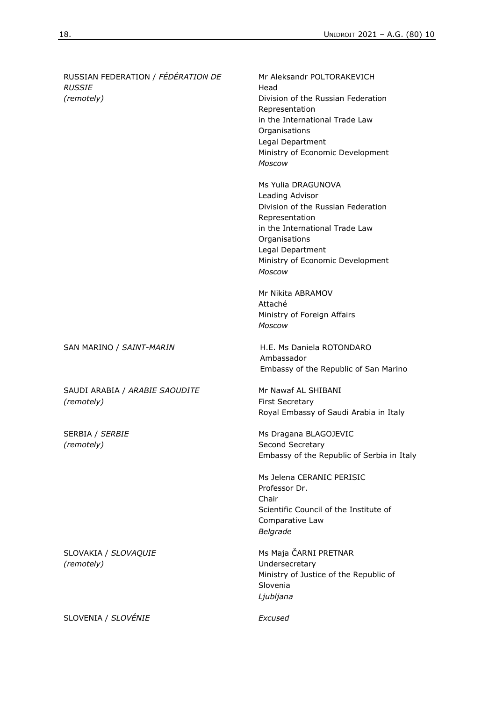| RUSSIAN FEDERATION / FÉDÉRATION DE<br><b>RUSSIE</b><br>(remotely) | Mr Aleksandr POLTORAKEVICH<br>Head<br>Division of the Russian Federation<br>Representation<br>in the International Trade Law<br>Organisations<br>Legal Department<br>Ministry of Economic Development<br><b>Moscow</b> |
|-------------------------------------------------------------------|------------------------------------------------------------------------------------------------------------------------------------------------------------------------------------------------------------------------|
|                                                                   | Ms Yulia DRAGUNOVA<br>Leading Advisor<br>Division of the Russian Federation<br>Representation<br>in the International Trade Law<br>Organisations<br>Legal Department<br>Ministry of Economic Development<br>Moscow     |
|                                                                   | Mr Nikita ABRAMOV<br>Attaché<br>Ministry of Foreign Affairs<br><b>Moscow</b>                                                                                                                                           |
| SAN MARINO / SAINT-MARIN                                          | H.E. Ms Daniela ROTONDARO<br>Ambassador<br>Embassy of the Republic of San Marino                                                                                                                                       |
| SAUDI ARABIA / ARABIE SAOUDITE<br>(remotely)                      | Mr Nawaf AL SHIBANI<br>First Secretary<br>Royal Embassy of Saudi Arabia in Italy                                                                                                                                       |
| SERBIA / SERBIE<br>(remotely)                                     | Ms Dragana BLAGOJEVIC<br>Second Secretary<br>Embassy of the Republic of Serbia in Italy                                                                                                                                |
|                                                                   | Ms Jelena CERANIC PERISIC<br>Professor Dr.<br>Chair<br>Scientific Council of the Institute of<br>Comparative Law<br>Belgrade                                                                                           |
| SLOVAKIA / SLOVAQUIE<br>(remotely)                                | Ms Maja ČARNI PRETNAR<br>Undersecretary<br>Ministry of Justice of the Republic of<br>Slovenia<br>Ljubljana                                                                                                             |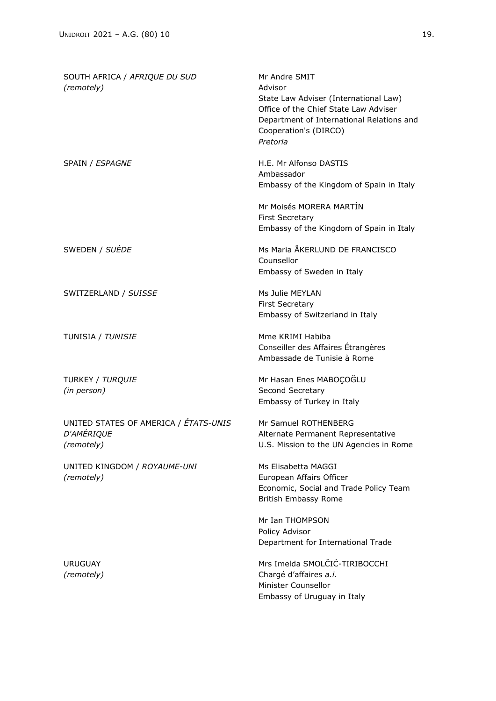| SOUTH AFRICA / AFRIQUE DU SUD<br>(remotely)                              | Mr Andre SMIT<br>Advisor<br>State Law Adviser (International Law)<br>Office of the Chief State Law Adviser<br>Department of International Relations and<br>Cooperation's (DIRCO)<br>Pretoria |
|--------------------------------------------------------------------------|----------------------------------------------------------------------------------------------------------------------------------------------------------------------------------------------|
| SPAIN / ESPAGNE                                                          | H.E. Mr Alfonso DASTIS<br>Ambassador<br>Embassy of the Kingdom of Spain in Italy                                                                                                             |
|                                                                          | Mr Moisés MORERA MARTÍN<br><b>First Secretary</b><br>Embassy of the Kingdom of Spain in Italy                                                                                                |
| SWEDEN / SUÈDE                                                           | Ms Maria ÅKERLUND DE FRANCISCO<br>Counsellor<br>Embassy of Sweden in Italy                                                                                                                   |
| SWITZERLAND / SUISSE                                                     | Ms Julie MEYLAN<br><b>First Secretary</b><br>Embassy of Switzerland in Italy                                                                                                                 |
| TUNISIA / TUNISIE                                                        | Mme KRIMI Habiba<br>Conseiller des Affaires Étrangères<br>Ambassade de Tunisie à Rome                                                                                                        |
| TURKEY / TURQUIE<br>(in person)                                          | Mr Hasan Enes MABOÇOĞLU<br>Second Secretary<br>Embassy of Turkey in Italy                                                                                                                    |
| UNITED STATES OF AMERICA / ÉTATS-UNIS<br><b>D'AMÉRIQUE</b><br>(remotely) | Mr Samuel ROTHENBERG<br>Alternate Permanent Representative<br>U.S. Mission to the UN Agencies in Rome                                                                                        |
| UNITED KINGDOM / ROYAUME-UNI<br>(remotely)                               | Ms Elisabetta MAGGI<br>European Affairs Officer<br>Economic, Social and Trade Policy Team<br><b>British Embassy Rome</b>                                                                     |
|                                                                          | Mr Ian THOMPSON<br>Policy Advisor<br>Department for International Trade                                                                                                                      |
| <b>URUGUAY</b><br>(remotely)                                             | Mrs Imelda SMOLČIĆ-TIRIBOCCHI<br>Chargé d'affaires a.i.<br>Minister Counsellor<br>Embassy of Uruguay in Italy                                                                                |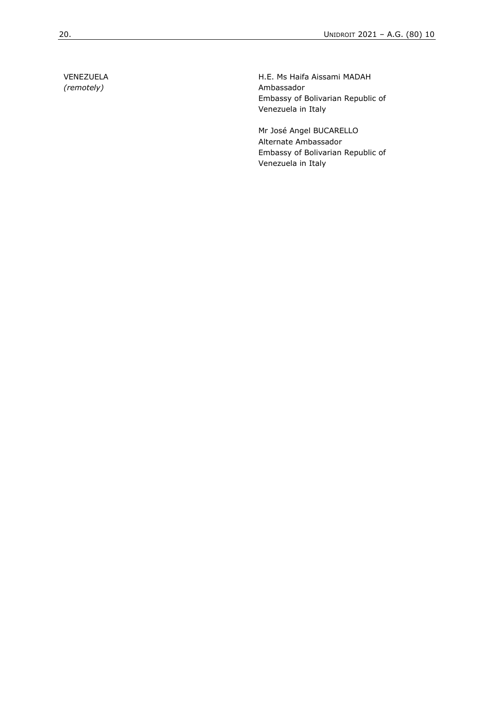VENEZUELA *(remotely)*

H.E. Ms Haifa Aissami MADAH Ambassador Embassy of Bolivarian Republic of Venezuela in Italy

Mr José Angel BUCARELLO Alternate Ambassador Embassy of Bolivarian Republic of Venezuela in Italy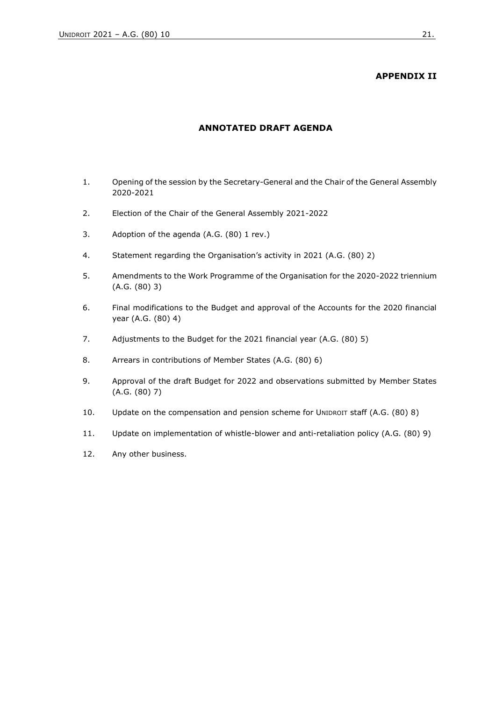# **APPENDIX II**

#### **ANNOTATED DRAFT AGENDA**

- <span id="page-20-0"></span>1. Opening of the session by the Secretary-General and the Chair of the General Assembly 2020-2021
- 2. Election of the Chair of the General Assembly 2021-2022
- 3. Adoption of the agenda (A.G. (80) 1 rev.)
- 4. Statement regarding the Organisation's activity in 2021 (A.G. (80) 2)
- 5. Amendments to the Work Programme of the Organisation for the 2020-2022 triennium (A.G. (80) 3)
- 6. Final modifications to the Budget and approval of the Accounts for the 2020 financial year (A.G. (80) 4)
- 7. Adjustments to the Budget for the 2021 financial year (A.G. (80) 5)
- 8. Arrears in contributions of Member States (A.G. (80) 6)
- 9. Approval of the draft Budget for 2022 and observations submitted by Member States (A.G. (80) 7)
- 10. Update on the compensation and pension scheme for UNIDROIT staff (A.G. (80) 8)
- 11. Update on implementation of whistle-blower and anti-retaliation policy (A.G. (80) 9)
- 12. Any other business.